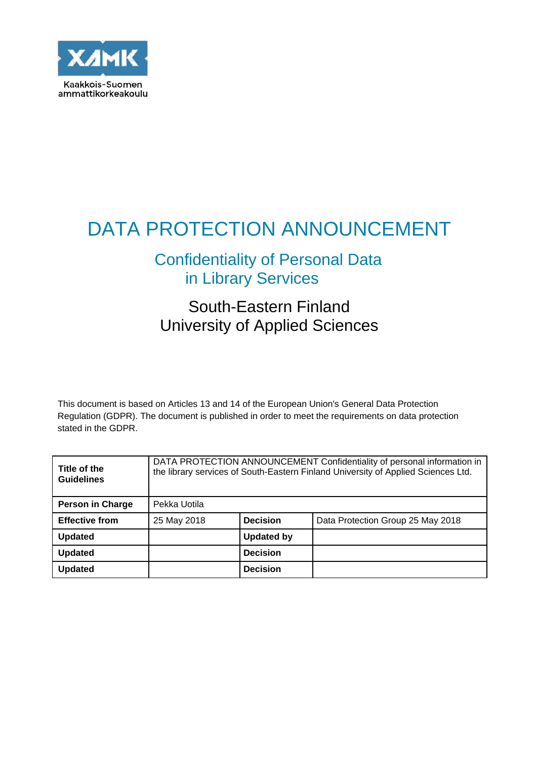

# DATA PROTECTION ANNOUNCEMENT

# Confidentiality of Personal Data in Library Services

# South-Eastern Finland University of Applied Sciences

This document is based on Articles 13 and 14 of the European Union's General Data Protection Regulation (GDPR). The document is published in order to meet the requirements on data protection stated in the GDPR.

| Title of the<br><b>Guidelines</b> | DATA PROTECTION ANNOUNCEMENT Confidentiality of personal information in<br>the library services of South-Eastern Finland University of Applied Sciences Ltd. |                   |                                   |
|-----------------------------------|--------------------------------------------------------------------------------------------------------------------------------------------------------------|-------------------|-----------------------------------|
| <b>Person in Charge</b>           | Pekka Uotila                                                                                                                                                 |                   |                                   |
| <b>Effective from</b>             | 25 May 2018                                                                                                                                                  | <b>Decision</b>   | Data Protection Group 25 May 2018 |
| <b>Updated</b>                    |                                                                                                                                                              | <b>Updated by</b> |                                   |
| <b>Updated</b>                    |                                                                                                                                                              | <b>Decision</b>   |                                   |
| <b>Updated</b>                    |                                                                                                                                                              | <b>Decision</b>   |                                   |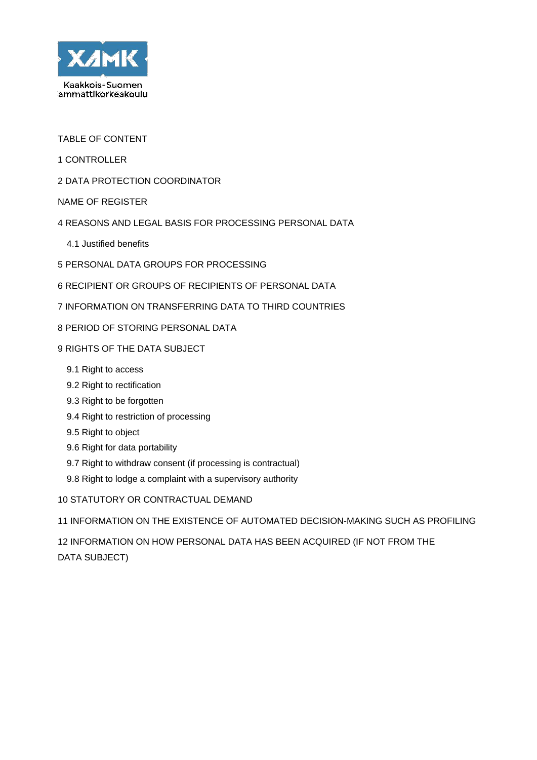

TABLE OF CONTENT

- 1 CONTROLLER
- 2 DATA PROTECTION COORDINATOR
- NAME OF REGISTER
- 4 REASONS AND LEGAL BASIS FOR PROCESSING PERSONAL DATA
	- 4.1 Justified benefits
- 5 PERSONAL DATA GROUPS FOR PROCESSING
- 6 RECIPIENT OR GROUPS OF RECIPIENTS OF PERSONAL DATA
- 7 INFORMATION ON TRANSFERRING DATA TO THIRD COUNTRIES
- 8 PERIOD OF STORING PERSONAL DATA
- 9 RIGHTS OF THE DATA SUBJECT
	- 9.1 Right to access
	- 9.2 Right to rectification
	- 9.3 Right to be forgotten
	- 9.4 Right to restriction of processing
	- 9.5 Right to object
	- 9.6 Right for data portability
	- 9.7 Right to withdraw consent (if processing is contractual)
	- 9.8 Right to lodge a complaint with a supervisory authority

10 STATUTORY OR CONTRACTUAL DEMAND

11 INFORMATION ON THE EXISTENCE OF AUTOMATED DECISION-MAKING SUCH AS PROFILING

12 INFORMATION ON HOW PERSONAL DATA HAS BEEN ACQUIRED (IF NOT FROM THE DATA SUBJECT)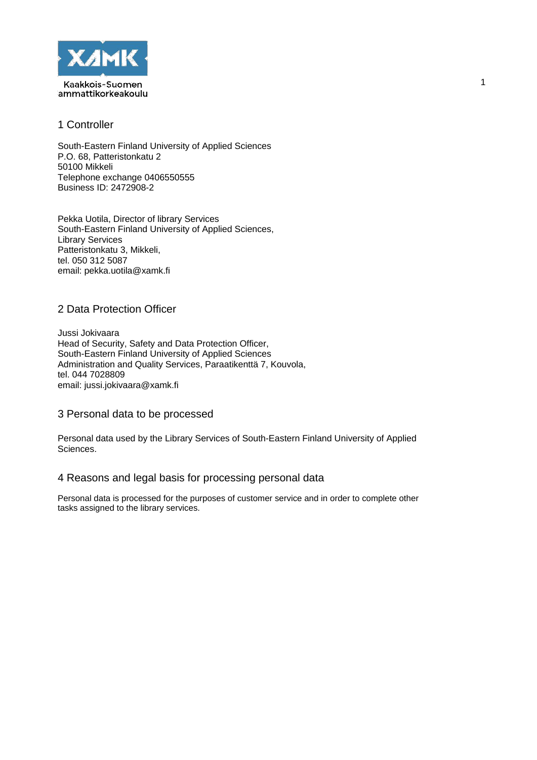

# 1 Controller

South-Eastern Finland University of Applied Sciences P.O. 68, Patteristonkatu 2 50100 Mikkeli Telephone exchange 0406550555 Business ID: 2472908-2

Pekka Uotila, Director of library Services South-Eastern Finland University of Applied Sciences, Library Services Patteristonkatu 3, Mikkeli, tel. 050 312 5087 email: pekka.uotila@xamk.fi

# 2 Data Protection Officer

Jussi Jokivaara Head of Security, Safety and Data Protection Officer, South-Eastern Finland University of Applied Sciences Administration and Quality Services, Paraatikenttä 7, Kouvola, tel. 044 7028809 email: jussi.jokivaara@xamk.fi

## 3 Personal data to be processed

Personal data used by the Library Services of South-Eastern Finland University of Applied Sciences.

## 4 Reasons and legal basis for processing personal data

Personal data is processed for the purposes of customer service and in order to complete other tasks assigned to the library services.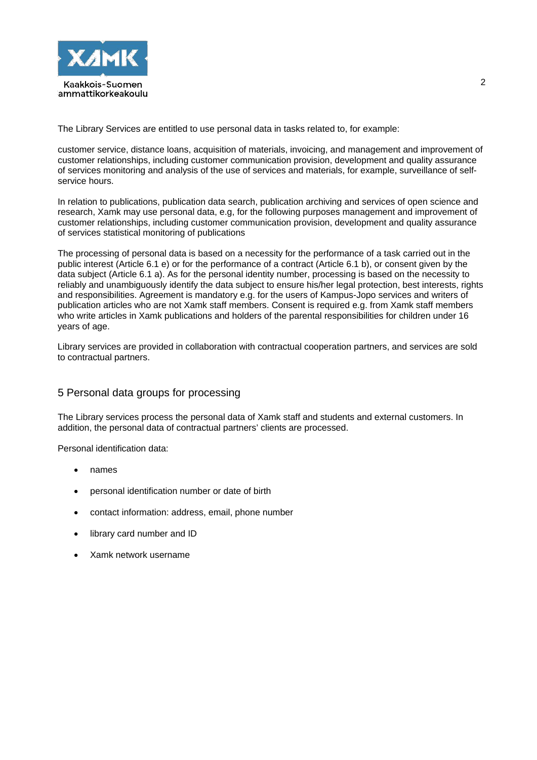

The Library Services are entitled to use personal data in tasks related to, for example:

customer service, distance loans, acquisition of materials, invoicing, and management and improvement of customer relationships, including customer communication provision, development and quality assurance of services monitoring and analysis of the use of services and materials, for example, surveillance of selfservice hours.

In relation to publications, publication data search, publication archiving and services of open science and research, Xamk may use personal data, e.g, for the following purposes management and improvement of customer relationships, including customer communication provision, development and quality assurance of services statistical monitoring of publications

The processing of personal data is based on a necessity for the performance of a task carried out in the public interest (Article 6.1 e) or for the performance of a contract (Article 6.1 b), or consent given by the data subject (Article 6.1 a). As for the personal identity number, processing is based on the necessity to reliably and unambiguously identify the data subject to ensure his/her legal protection, best interests, rights and responsibilities. Agreement is mandatory e.g. for the users of Kampus-Jopo services and writers of publication articles who are not Xamk staff members. Consent is required e.g. from Xamk staff members who write articles in Xamk publications and holders of the parental responsibilities for children under 16 years of age.

Library services are provided in collaboration with contractual cooperation partners, and services are sold to contractual partners.

# 5 Personal data groups for processing

The Library services process the personal data of Xamk staff and students and external customers. In addition, the personal data of contractual partners' clients are processed.

Personal identification data:

- names
- personal identification number or date of birth
- contact information: address, email, phone number
- library card number and ID
- Xamk network username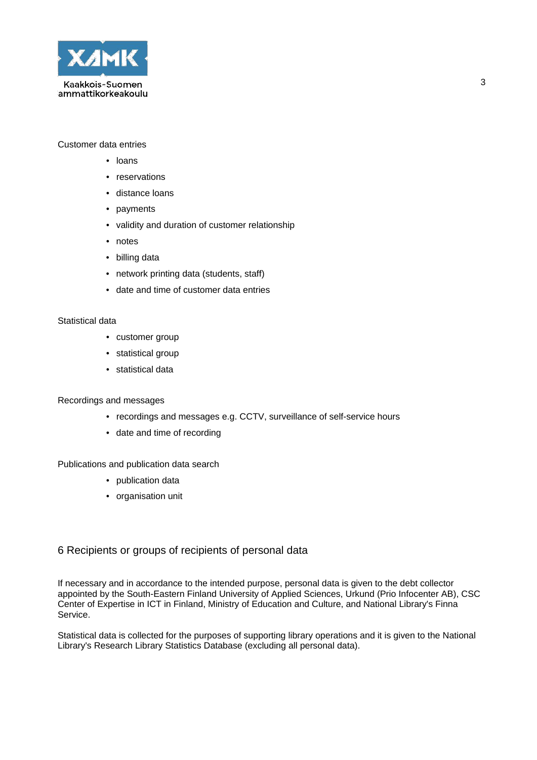

#### Customer data entries

- loans
- reservations
- distance loans
- payments
- validity and duration of customer relationship
- notes
- billing data
- network printing data (students, staff)
- date and time of customer data entries

#### Statistical data

- customer group
- statistical group
- statistical data

#### Recordings and messages

- recordings and messages e.g. CCTV, surveillance of self-service hours
- date and time of recording

#### Publications and publication data search

- publication data
- organisation unit

#### 6 Recipients or groups of recipients of personal data

If necessary and in accordance to the intended purpose, personal data is given to the debt collector appointed by the South-Eastern Finland University of Applied Sciences, Urkund (Prio Infocenter AB), CSC Center of Expertise in ICT in Finland, Ministry of Education and Culture, and National Library's Finna Service.

Statistical data is collected for the purposes of supporting library operations and it is given to the National Library's Research Library Statistics Database (excluding all personal data).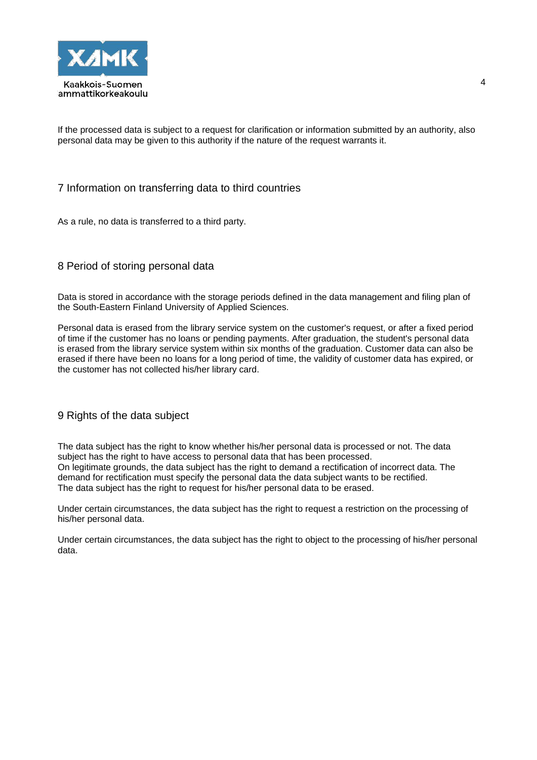

If the processed data is subject to a request for clarification or information submitted by an authority, also personal data may be given to this authority if the nature of the request warrants it.

## 7 Information on transferring data to third countries

As a rule, no data is transferred to a third party.

# 8 Period of storing personal data

Data is stored in accordance with the storage periods defined in the data management and filing plan of the South-Eastern Finland University of Applied Sciences.

Personal data is erased from the library service system on the customer's request, or after a fixed period of time if the customer has no loans or pending payments. After graduation, the student's personal data is erased from the library service system within six months of the graduation. Customer data can also be erased if there have been no loans for a long period of time, the validity of customer data has expired, or the customer has not collected his/her library card.

#### 9 Rights of the data subject

The data subject has the right to know whether his/her personal data is processed or not. The data subject has the right to have access to personal data that has been processed. On legitimate grounds, the data subject has the right to demand a rectification of incorrect data. The demand for rectification must specify the personal data the data subject wants to be rectified. The data subject has the right to request for his/her personal data to be erased.

Under certain circumstances, the data subject has the right to request a restriction on the processing of his/her personal data.

Under certain circumstances, the data subject has the right to object to the processing of his/her personal data.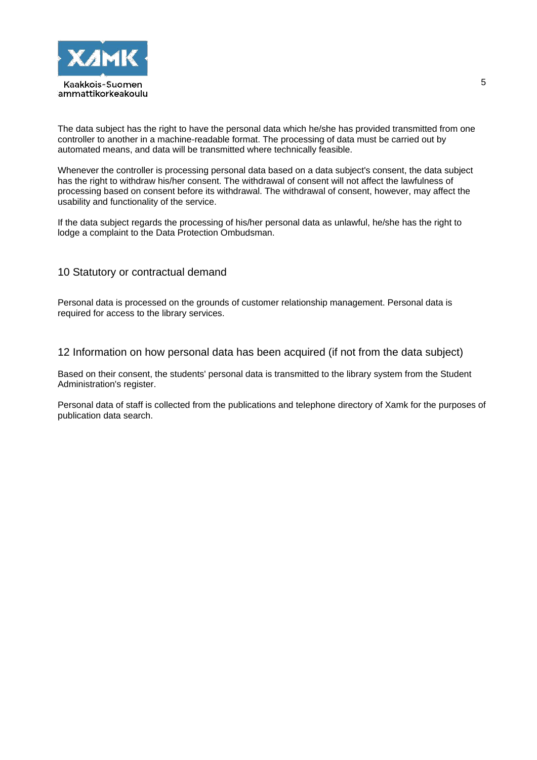

The data subject has the right to have the personal data which he/she has provided transmitted from one controller to another in a machine-readable format. The processing of data must be carried out by automated means, and data will be transmitted where technically feasible.

Whenever the controller is processing personal data based on a data subject's consent, the data subject has the right to withdraw his/her consent. The withdrawal of consent will not affect the lawfulness of processing based on consent before its withdrawal. The withdrawal of consent, however, may affect the usability and functionality of the service.

If the data subject regards the processing of his/her personal data as unlawful, he/she has the right to lodge a complaint to the Data Protection Ombudsman.

# 10 Statutory or contractual demand

Personal data is processed on the grounds of customer relationship management. Personal data is required for access to the library services.

12 Information on how personal data has been acquired (if not from the data subject)

Based on their consent, the students' personal data is transmitted to the library system from the Student Administration's register.

Personal data of staff is collected from the publications and telephone directory of Xamk for the purposes of publication data search.